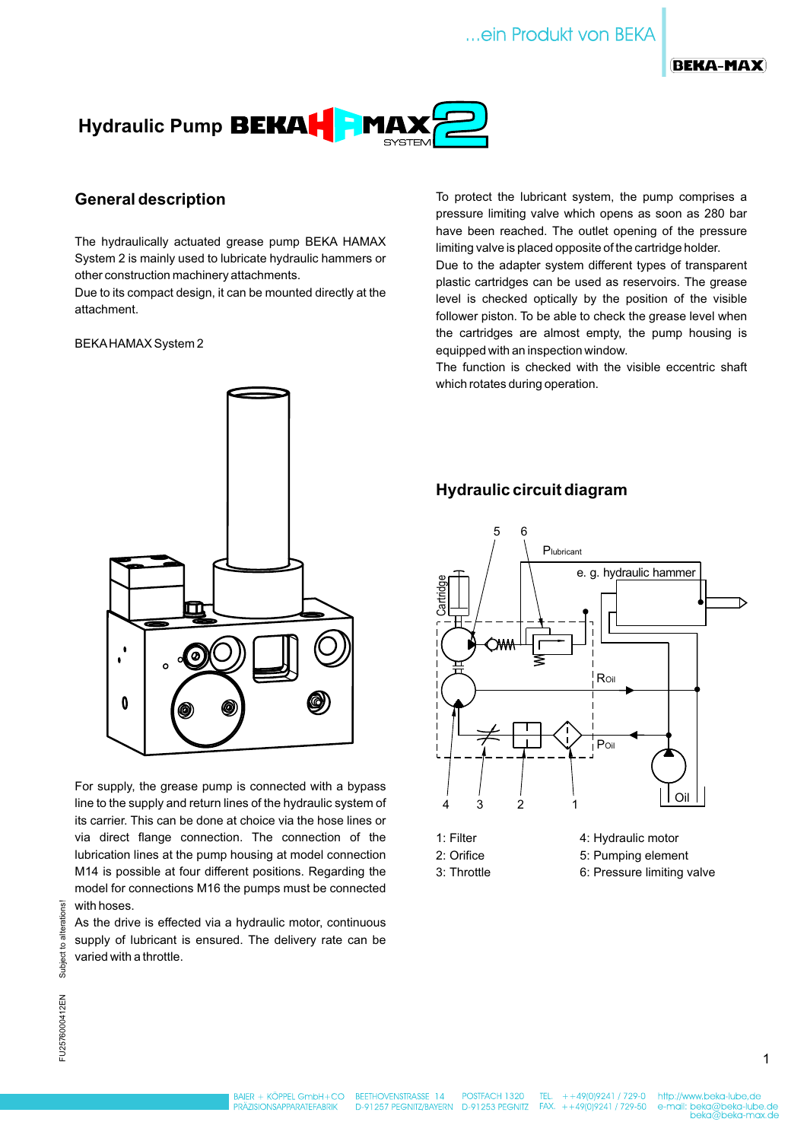



## **General description**

The hydraulically actuated grease pump BEKA HAMAX System 2 is mainly used to lubricate hydraulic hammers or other construction machinery attachments.

Due to its compact design, it can be mounted directly at the attachment.

#### BEKAHAMAX System 2



For supply, the grease pump is connected with a bypass line to the supply and return lines of the hydraulic system of its carrier. This can be done at choice via the hose lines or via direct flange connection. The connection of the lubrication lines at the pump housing at model connection M14 is possible at four different positions. Regarding the model for connections M16 the pumps must be connected with hoses.

As the drive is effected via a hydraulic motor, continuous supply of lubricant is ensured. The delivery rate can be varied with a throttle.

To protect the lubricant system, the pump comprises a pressure limiting valve which opens as soon as 280 bar have been reached. The outlet opening of the pressure limiting valve is placed opposite of the cartridge holder.

plastic cartridges can be used as reservoirs. The grease level is checked optically by the position of the visible follower piston. To be able to check the grease level when the cartridges are almost empty, the pump housing is equipped with an inspection window. Due to the adapter system different types of transparent

The function is checked with the visible eccentric shaft which rotates during operation.

## **Hydraulic circuit diagram**



- 
- 
- 
- 2: Orifice 5: Pumping element
- 3: Throttle 6: Pressure limiting valve

TEL.  $+49(0)9241 / 729 - 0$  $+ +49(0)9241 / 729 - 50$ 

1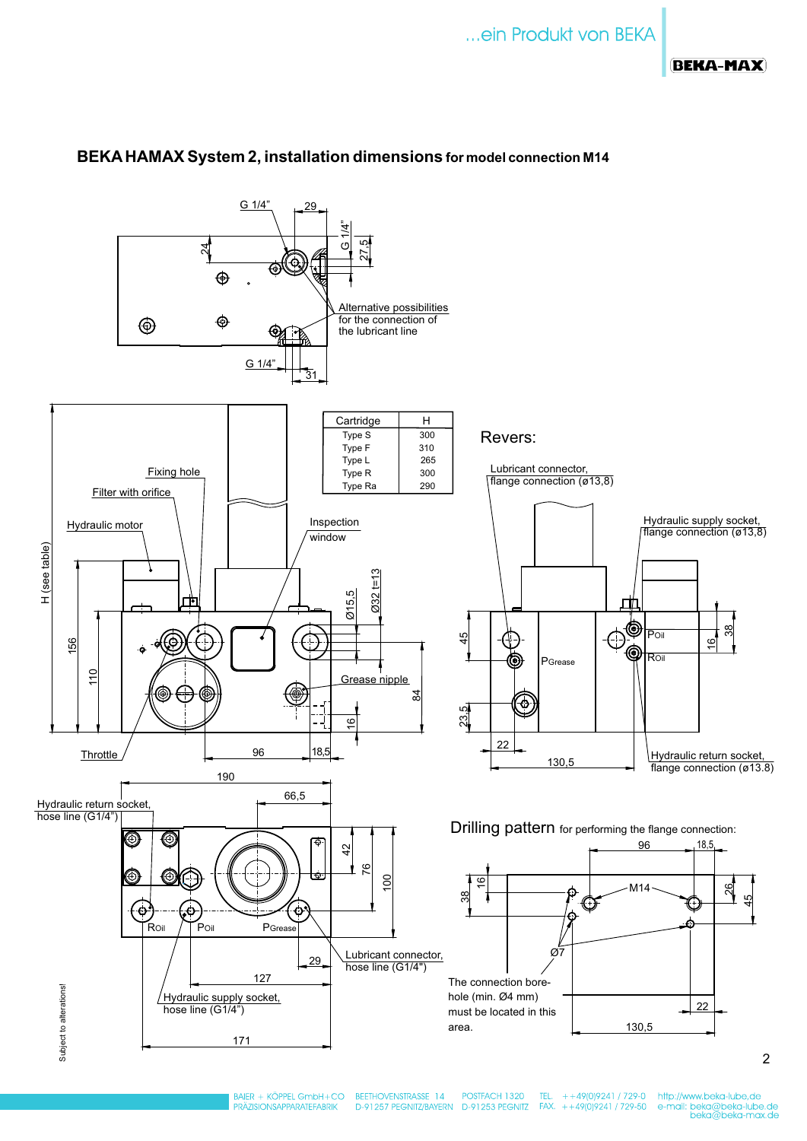## **BEKA-MAX**



## **BEKAHAMAX System 2, installation dimensions for model connection M14**

BEETHOVENSTRASSE 14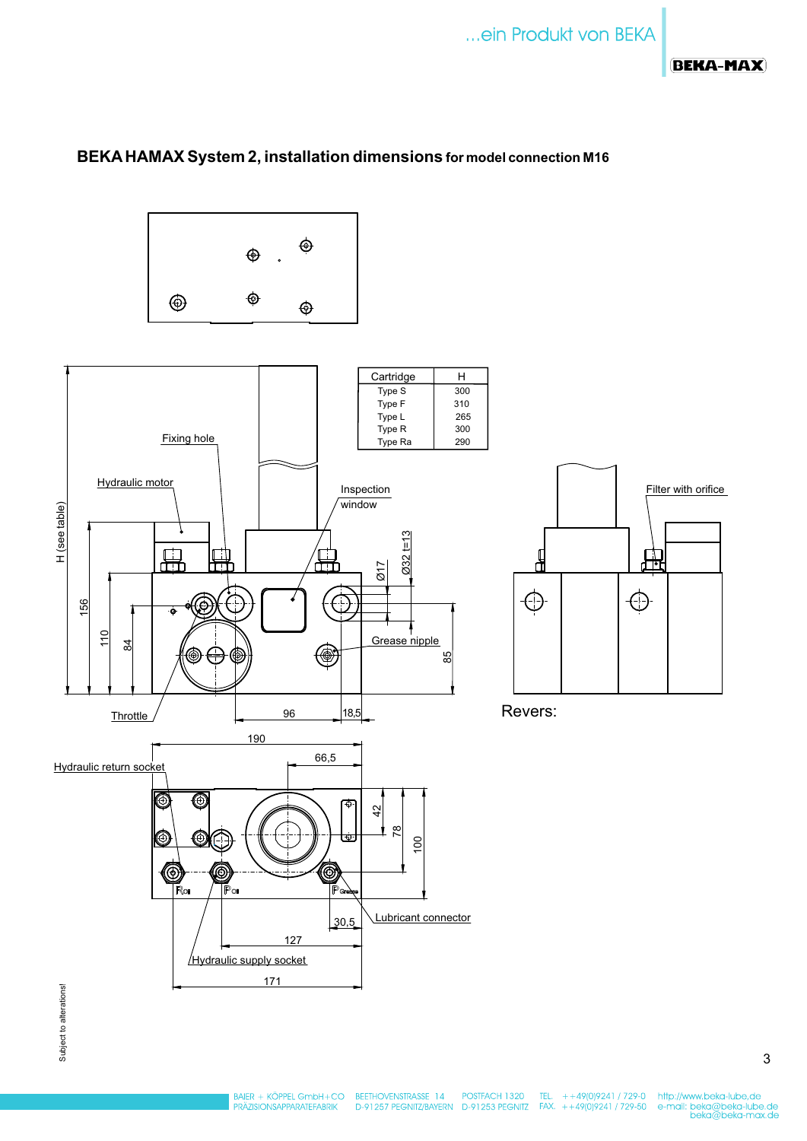## **BEKA-MAX**

## **BEKAHAMAX System 2, installation dimensions for model connection M16**







Revers:

3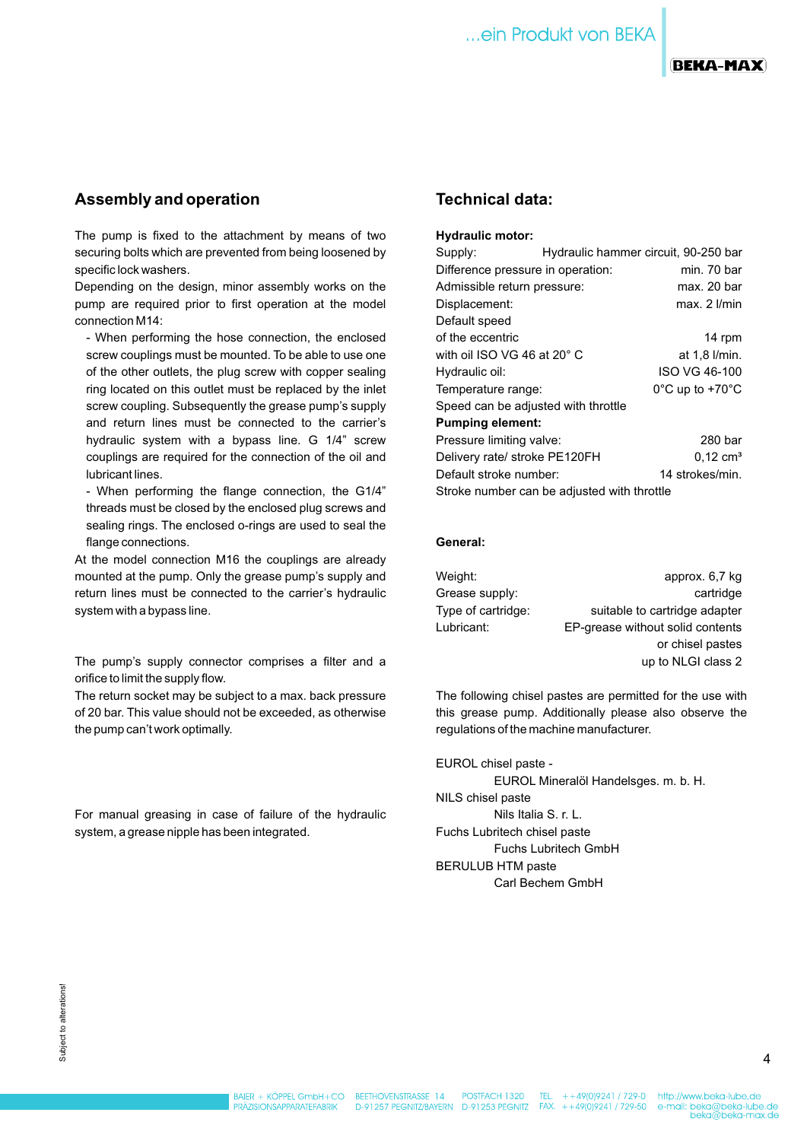

#### **BEKA-MAX**

## **Assembly and operation**

The pump is fixed to the attachment by means of two securing bolts which are prevented from being loosened by specific lock washers.

Depending on the design, minor assembly works on the pump are required prior to first operation at the model connection M14:

- When performing the hose connection, the enclosed screw couplings must be mounted. To be able to use one of the other outlets, the plug screw with copper sealing ring located on this outlet must be replaced by the inlet screw coupling. Subsequently the grease pump's supply and return lines must be connected to the carrier's hydraulic system with a bypass line. G 1/4" screw couplings are required for the connection of the oil and lubricant lines.

- When performing the flange connection, the G1/4" threads must be closed by the enclosed plug screws and sealing rings. The enclosed o-rings are used to seal the flange connections.

At the model connection M16 the couplings are already mounted at the pump. Only the grease pump's supply and return lines must be connected to the carrier's hydraulic system with a bypass line.

The pump's supply connector comprises a filter and a orifice to limit the supply flow.

The return socket may be subject to a max. back pressure of 20 bar. This value should not be exceeded, as otherwise the pump can't work optimally.

For manual greasing in case of failure of the hydraulic system, a grease nipple has been integrated.

## **Technical data:**

#### **Hydraulic motor:**

| Supply:                                     |             | Hydraulic hammer circuit, 90-250 bar |  |  |  |
|---------------------------------------------|-------------|--------------------------------------|--|--|--|
| Difference pressure in operation:           | min. 70 bar |                                      |  |  |  |
| Admissible return pressure:                 | max. 20 bar |                                      |  |  |  |
| Displacement:                               |             | $max. 2$ $l/min$                     |  |  |  |
| Default speed                               |             |                                      |  |  |  |
| of the eccentric                            |             | 14 rpm                               |  |  |  |
| with oil ISO VG 46 at 20° C                 |             | at 1,8 l/min.                        |  |  |  |
| Hydraulic oil:                              |             | ISO VG 46-100                        |  |  |  |
| Temperature range:                          |             | $0^{\circ}$ C up to +70 $^{\circ}$ C |  |  |  |
| Speed can be adjusted with throttle         |             |                                      |  |  |  |
| <b>Pumping element:</b>                     |             |                                      |  |  |  |
| Pressure limiting valve:                    |             | 280 bar                              |  |  |  |
| Delivery rate/ stroke PE120FH               |             | $0.12 \text{ cm}^3$                  |  |  |  |
| Default stroke number:                      |             | 14 strokes/min.                      |  |  |  |
| Stroke number can be adjusted with throttle |             |                                      |  |  |  |

#### **General:**

| Weight:            | approx. 6,7 kg                   |
|--------------------|----------------------------------|
|                    |                                  |
| Grease supply:     | cartridge                        |
| Type of cartridge: | suitable to cartridge adapter    |
| Lubricant:         | EP-grease without solid contents |
|                    | or chisel pastes                 |
|                    | up to NLGI class 2               |

The following chisel pastes are permitted for the use with this grease pump. Additionally please also observe the regulations of the machine manufacturer.

EUROL chisel paste - EUROL Mineralöl Handelsges. m. b. H. NILS chisel paste Nils Italia S. r. L. Fuchs Lubritech chisel paste Fuchs Lubritech GmbH BERULUB HTM paste Carl Bechem GmbH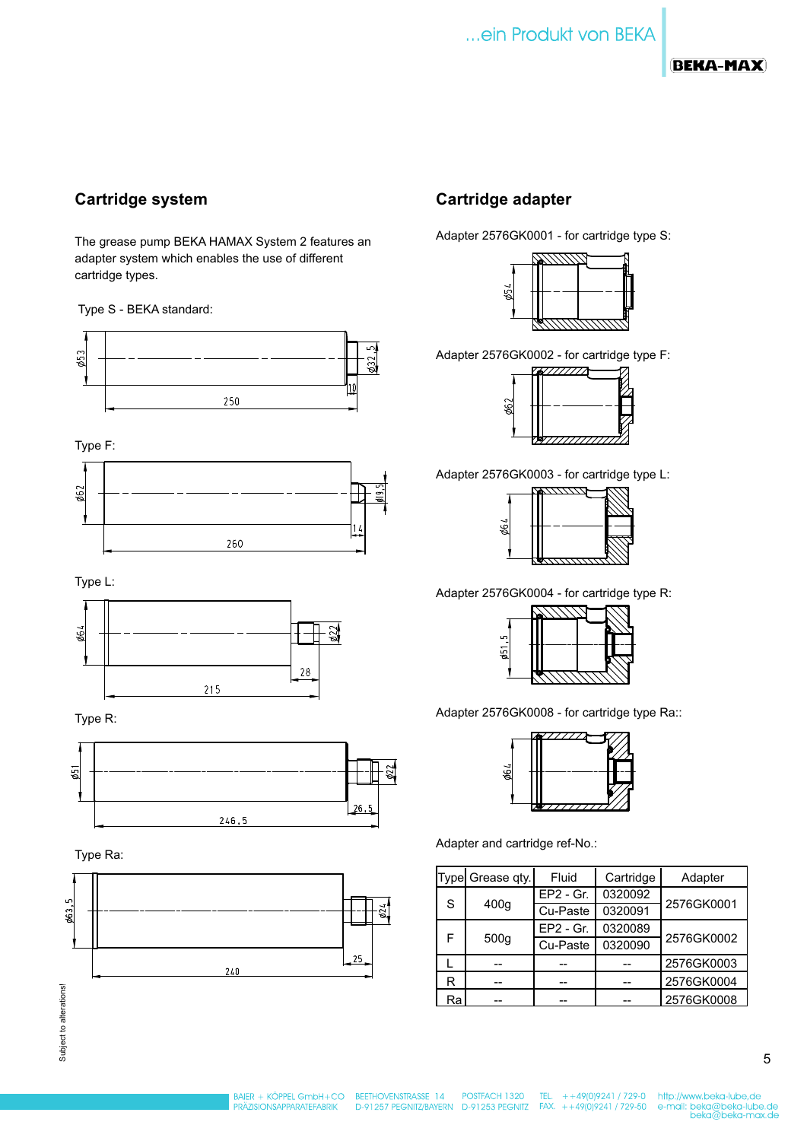# ... ein Produkt von BEKA

## **BEKA-MAX**

## **Cartridge system**

The grease pump BEKA HAMAX System 2 features an adapter system which enables the use of different cartridge types.

#### Type S - BEKA standard:



Type F:



Type L:



Type R:



Type Ra:



## **Cartridge adapter**

Adapter 2576GK0001 - for cartridge type S:



Adapter 2576GK0002 - for cartridge type F:



Adapter 2576GK0003 - for cartridge type L:

|    |  | 7777777      |  |
|----|--|--------------|--|
|    |  |              |  |
|    |  |              |  |
| 99 |  |              |  |
|    |  |              |  |
|    |  |              |  |
|    |  | ,,,,,,,,,,,, |  |

Adapter 2576GK0004 - for cartridge type R:

| LO                   |  |  |  |  |
|----------------------|--|--|--|--|
| $\bar{\mathfrak{g}}$ |  |  |  |  |
|                      |  |  |  |  |

Adapter 2576GK0008 - for cartridge type Ra::



Adapter and cartridge ref-No.:

|           | Type Grease qty. | Fluid       | Cartridge | Adapter    |  |
|-----------|------------------|-------------|-----------|------------|--|
| S         |                  | $EP2 - Gr.$ | 0320092   |            |  |
|           | 400q             | Cu-Paste    | 0320091   | 2576GK0001 |  |
| F<br>500q |                  | $EP2 - Gr.$ | 0320089   |            |  |
|           |                  | Cu-Paste    | 0320090   | 2576GK0002 |  |
|           |                  |             |           | 2576GK0003 |  |
| R         |                  |             |           | 2576GK0004 |  |
| Ra        |                  |             |           | 2576GK0008 |  |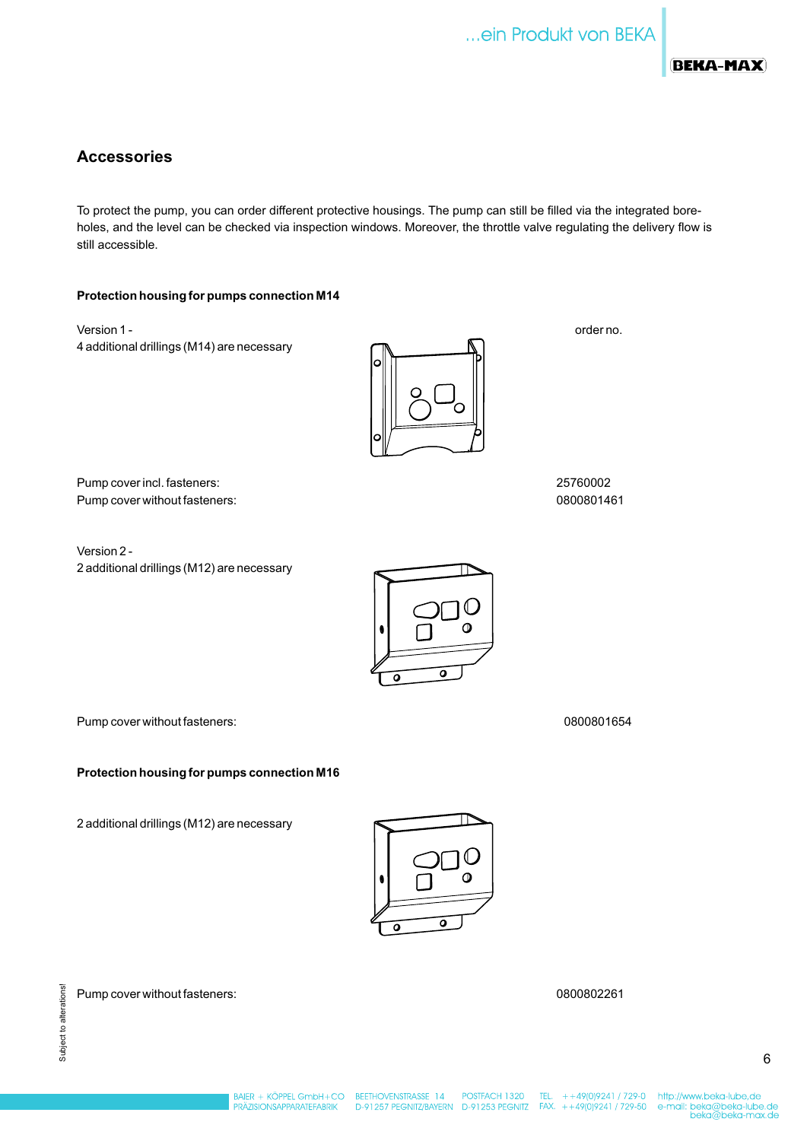

## **Accessories**

To protect the pump, you can order different protective housings. The pump can still be filled via the integrated boreholes, and the level can be checked via inspection windows. Moreover, the throttle valve regulating the delivery flow is still accessible.

#### **Protection housing for pumps connection M14**

Version 1 - 4 additional drillings (M14) are necessary



order no.

Pump cover incl. fasteners: 25760002 Pump cover without fasteners: 0800801461

Version 2 - 2 additional drillings (M12) are necessary



Pump cover without fasteners: 0800801654

**Protection housing for pumps connection M16**

2 additional drillings (M12) are necessary



Pump cover without fasteners: 0800802261



Subject to alterations! Subject to alterations!

POSTFACH 1320 D-91257 PEGNITZ/BAYERN D-91253 PEGNITZ FAX. ++49(0)9241 / 729-50

TEL.  $+ +49(0)9241 / 729 - 0$ 

http://www.beka-lube,de e-mail: beka@beka-lube.de<br>beka@beka-lube.de<br>beka@beka-max.de

6